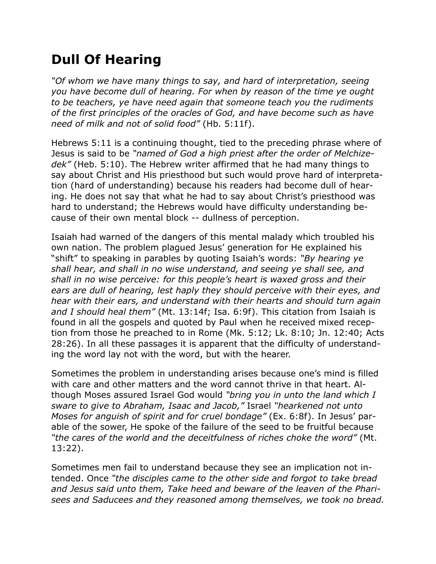## **Dull Of Hearing**

*"Of whom we have many things to say, and hard of interpretation, seeing you have become dull of hearing. For when by reason of the time ye ought to be teachers, ye have need again that someone teach you the rudiments of the first principles of the oracles of God, and have become such as have need of milk and not of solid food"* (Hb. 5:11f).

Hebrews 5:11 is a continuing thought, tied to the preceding phrase where of Jesus is said to be *"named of God a high priest after the order of Melchizedek"* (Heb. 5:10). The Hebrew writer affirmed that he had many things to say about Christ and His priesthood but such would prove hard of interpretation (hard of understanding) because his readers had become dull of hearing. He does not say that what he had to say about Christ's priesthood was hard to understand; the Hebrews would have difficulty understanding because of their own mental block -- dullness of perception.

Isaiah had warned of the dangers of this mental malady which troubled his own nation. The problem plagued Jesus' generation for He explained his "shift" to speaking in parables by quoting Isaiah's words: *"By hearing ye shall hear, and shall in no wise understand, and seeing ye shall see, and shall in no wise perceive: for this people's heart is waxed gross and their ears are dull of hearing, lest haply they should perceive with their eyes, and hear with their ears, and understand with their hearts and should turn again and I should heal them"* (Mt. 13:14f; Isa. 6:9f). This citation from Isaiah is found in all the gospels and quoted by Paul when he received mixed reception from those he preached to in Rome (Mk. 5:12; Lk. 8:10; Jn. 12:40; Acts 28:26). In all these passages it is apparent that the difficulty of understanding the word lay not with the word, but with the hearer.

Sometimes the problem in understanding arises because one's mind is filled with care and other matters and the word cannot thrive in that heart. Although Moses assured Israel God would *"bring you in unto the land which I sware to give to Abraham, Isaac and Jacob,"* Israel *"hearkened not unto Moses for anguish of spirit and for cruel bondage"* (Ex. 6:8f). In Jesus' parable of the sower, He spoke of the failure of the seed to be fruitful because *"the cares of the world and the deceitfulness of riches choke the word"* (Mt. 13:22).

Sometimes men fail to understand because they see an implication not intended. Once *"the disciples came to the other side and forgot to take bread and Jesus said unto them, Take heed and beware of the leaven of the Pharisees and Saducees and they reasoned among themselves, we took no bread.*